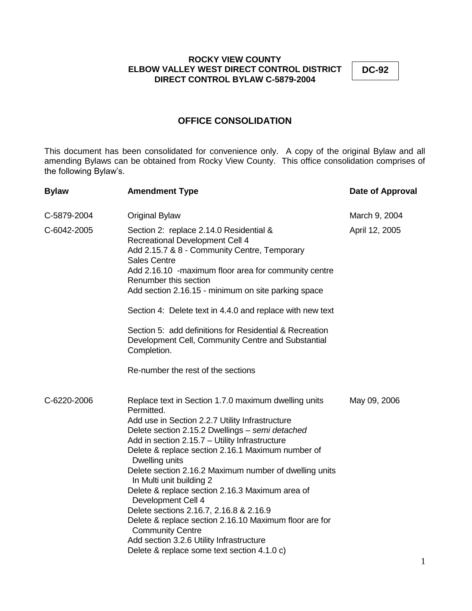**DC-92**

# **OFFICE CONSOLIDATION**

This document has been consolidated for convenience only. A copy of the original Bylaw and all amending Bylaws can be obtained from Rocky View County. This office consolidation comprises of the following Bylaw's.

| <b>Bylaw</b> | <b>Amendment Type</b>                                                                                                                                                                                                                                                                                                                                                                                                                                                                                                                                                                                                                                                                       | Date of Approval |
|--------------|---------------------------------------------------------------------------------------------------------------------------------------------------------------------------------------------------------------------------------------------------------------------------------------------------------------------------------------------------------------------------------------------------------------------------------------------------------------------------------------------------------------------------------------------------------------------------------------------------------------------------------------------------------------------------------------------|------------------|
| C-5879-2004  | Original Bylaw                                                                                                                                                                                                                                                                                                                                                                                                                                                                                                                                                                                                                                                                              | March 9, 2004    |
| C-6042-2005  | Section 2: replace 2.14.0 Residential &<br>Recreational Development Cell 4<br>Add 2.15.7 & 8 - Community Centre, Temporary<br><b>Sales Centre</b><br>Add 2.16.10 -maximum floor area for community centre<br>Renumber this section<br>Add section 2.16.15 - minimum on site parking space<br>Section 4: Delete text in 4.4.0 and replace with new text<br>Section 5: add definitions for Residential & Recreation<br>Development Cell, Community Centre and Substantial<br>Completion.<br>Re-number the rest of the sections                                                                                                                                                                | April 12, 2005   |
| C-6220-2006  | Replace text in Section 1.7.0 maximum dwelling units<br>Permitted.<br>Add use in Section 2.2.7 Utility Infrastructure<br>Delete section 2.15.2 Dwellings - semi detached<br>Add in section 2.15.7 - Utility Infrastructure<br>Delete & replace section 2.16.1 Maximum number of<br>Dwelling units<br>Delete section 2.16.2 Maximum number of dwelling units<br>In Multi unit building 2<br>Delete & replace section 2.16.3 Maximum area of<br>Development Cell 4<br>Delete sections 2.16.7, 2.16.8 & 2.16.9<br>Delete & replace section 2.16.10 Maximum floor are for<br><b>Community Centre</b><br>Add section 3.2.6 Utility Infrastructure<br>Delete & replace some text section 4.1.0 c) | May 09, 2006     |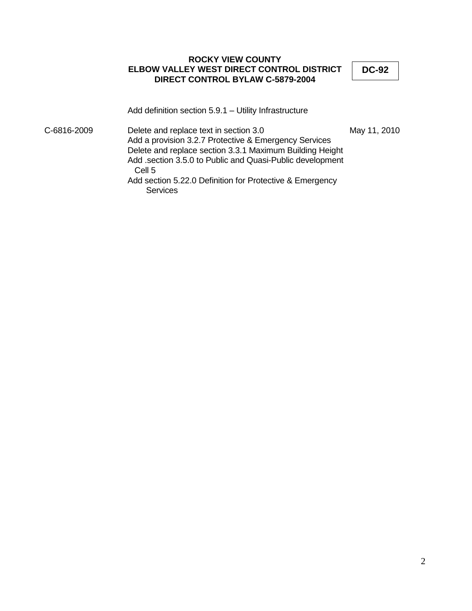**DC-92**

Add definition section 5.9.1 – Utility Infrastructure

C-6816-2009 Delete and replace text in section 3.0 May 11, 2010 Add a provision 3.2.7 Protective & Emergency Services Delete and replace section 3.3.1 Maximum Building Height Add .section 3.5.0 to Public and Quasi-Public development Cell 5 Add section 5.22.0 Definition for Protective & Emergency **Services**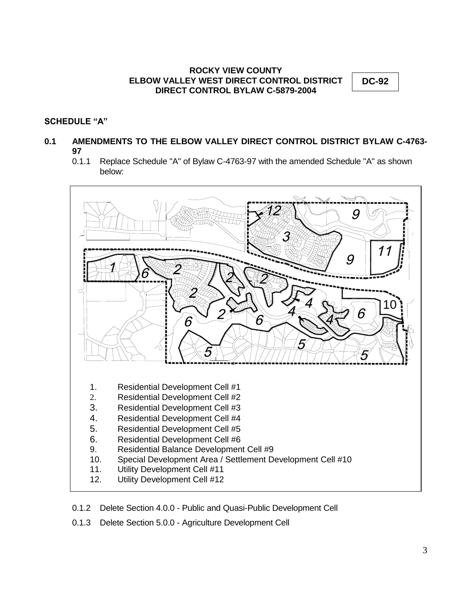**DC-92**

# **SCHEDULE "A"**

# **0.1 AMENDMENTS TO THE ELBOW VALLEY DIRECT CONTROL DISTRICT BYLAW C-4763- 97**

0.1.1 Replace Schedule "A" of Bylaw C-4763-97 with the amended Schedule "A" as shown below:



- 0.1.2 Delete Section 4.0.0 Public and Quasi-Public Development Cell
- 0.1.3 Delete Section 5.0.0 Agriculture Development Cell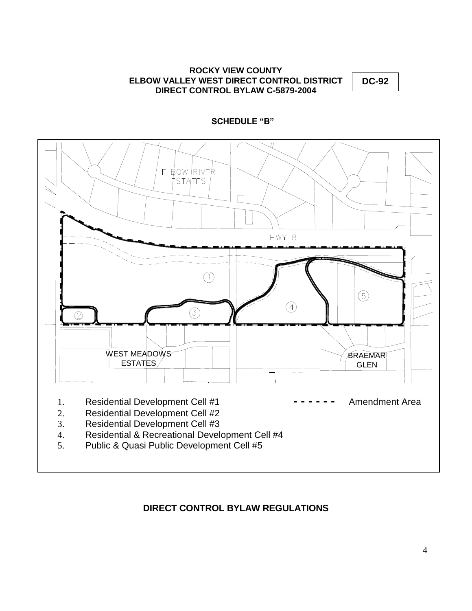**DC-92**



# **SCHEDULE "B"**

# **DIRECT CONTROL BYLAW REGULATIONS**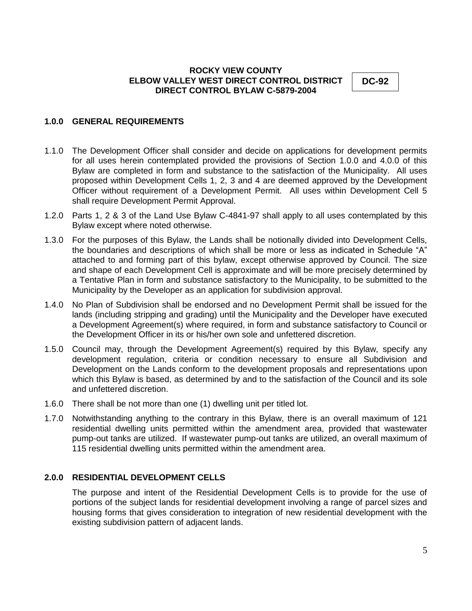**DC-92**

# **1.0.0 GENERAL REQUIREMENTS**

- 1.1.0 The Development Officer shall consider and decide on applications for development permits for all uses herein contemplated provided the provisions of Section 1.0.0 and 4.0.0 of this Bylaw are completed in form and substance to the satisfaction of the Municipality. All uses proposed within Development Cells 1, 2, 3 and 4 are deemed approved by the Development Officer without requirement of a Development Permit. All uses within Development Cell 5 shall require Development Permit Approval.
- 1.2.0 Parts 1, 2 & 3 of the Land Use Bylaw C-4841-97 shall apply to all uses contemplated by this Bylaw except where noted otherwise.
- 1.3.0 For the purposes of this Bylaw, the Lands shall be notionally divided into Development Cells, the boundaries and descriptions of which shall be more or less as indicated in Schedule "A" attached to and forming part of this bylaw, except otherwise approved by Council. The size and shape of each Development Cell is approximate and will be more precisely determined by a Tentative Plan in form and substance satisfactory to the Municipality, to be submitted to the Municipality by the Developer as an application for subdivision approval.
- 1.4.0 No Plan of Subdivision shall be endorsed and no Development Permit shall be issued for the lands (including stripping and grading) until the Municipality and the Developer have executed a Development Agreement(s) where required, in form and substance satisfactory to Council or the Development Officer in its or his/her own sole and unfettered discretion.
- 1.5.0 Council may, through the Development Agreement(s) required by this Bylaw, specify any development regulation, criteria or condition necessary to ensure all Subdivision and Development on the Lands conform to the development proposals and representations upon which this Bylaw is based, as determined by and to the satisfaction of the Council and its sole and unfettered discretion.
- 1.6.0 There shall be not more than one (1) dwelling unit per titled lot.
- 1.7.0 Notwithstanding anything to the contrary in this Bylaw, there is an overall maximum of 121 residential dwelling units permitted within the amendment area, provided that wastewater pump-out tanks are utilized. If wastewater pump-out tanks are utilized, an overall maximum of 115 residential dwelling units permitted within the amendment area.

#### **2.0.0 RESIDENTIAL DEVELOPMENT CELLS**

The purpose and intent of the Residential Development Cells is to provide for the use of portions of the subject lands for residential development involving a range of parcel sizes and housing forms that gives consideration to integration of new residential development with the existing subdivision pattern of adjacent lands.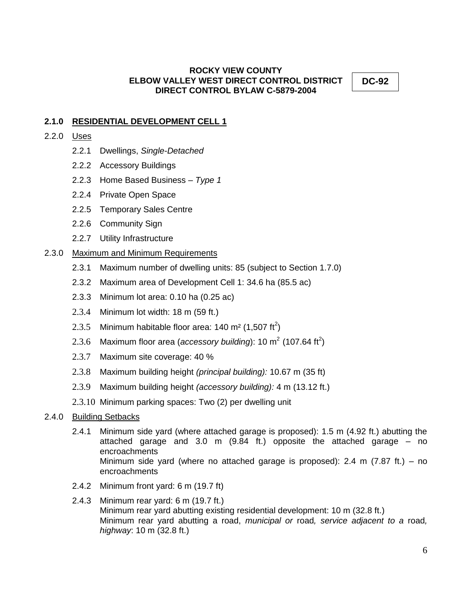**DC-92**

# **2.1.0 RESIDENTIAL DEVELOPMENT CELL 1**

- 2.2.0 Uses
	- 2.2.1 Dwellings, *Single-Detached*
	- 2.2.2 Accessory Buildings
	- 2.2.3 Home Based Business *Type 1*
	- 2.2.4 Private Open Space
	- 2.2.5 Temporary Sales Centre
	- 2.2.6 Community Sign
	- 2.2.7 Utility Infrastructure

# 2.3.0 Maximum and Minimum Requirements

- 2.3.1 Maximum number of dwelling units: 85 (subject to Section 1.7.0)
- 2.3.2 Maximum area of Development Cell 1: 34.6 ha (85.5 ac)
- 2.3.3 Minimum lot area: 0.10 ha (0.25 ac)
- 2.3.4 Minimum lot width: 18 m (59 ft.)
- 2.3.5 Minimum habitable floor area: 140 m<sup>2</sup> (1,507 ft<sup>2</sup>)
- 2.3.6 Maximum floor area (*accessory building*): 10 m<sup>2</sup> (107.64 ft<sup>2</sup>)
- 2.3.7 Maximum site coverage: 40 %
- 2.3.8 Maximum building height *(principal building):* 10.67 m (35 ft)
- 2.3.9 Maximum building height *(accessory building):* 4 m (13.12 ft.)
- 2.3.10 Minimum parking spaces: Two (2) per dwelling unit

# 2.4.0 Building Setbacks

- 2.4.1 Minimum side yard (where attached garage is proposed): 1.5 m (4.92 ft.) abutting the attached garage and 3.0 m (9.84 ft.) opposite the attached garage – no encroachments Minimum side yard (where no attached garage is proposed): 2.4 m (7.87 ft.) – no encroachments
- 2.4.2 Minimum front yard: 6 m (19.7 ft)
- 2.4.3 Minimum rear yard: 6 m (19.7 ft.) Minimum rear yard abutting existing residential development: 10 m (32.8 ft.) Minimum rear yard abutting a road, *municipal or* road*, service adjacent to a* road*, highway*: 10 m (32.8 ft.)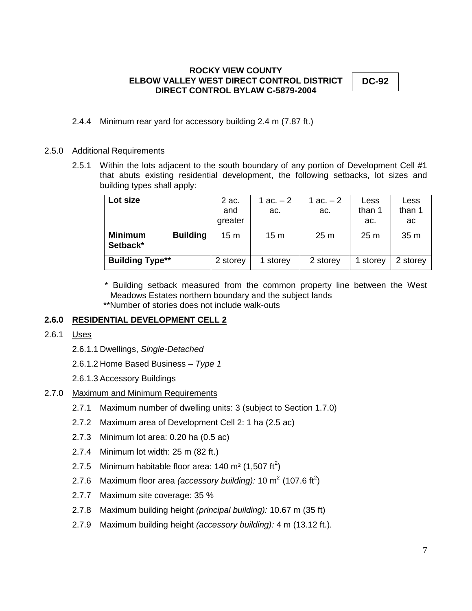**DC-92**

2.4.4 Minimum rear yard for accessory building 2.4 m (7.87 ft.)

#### 2.5.0 Additional Requirements

2.5.1 Within the lots adjacent to the south boundary of any portion of Development Cell #1 that abuts existing residential development, the following setbacks, lot sizes and building types shall apply:

| Lot size                                      | 2 ac.<br>and<br>greater | 1 ac. – 2<br>ac. | 1 ac. $-2$<br>ac. | Less<br>than 1<br>ac. | Less<br>than 1<br>ac |
|-----------------------------------------------|-------------------------|------------------|-------------------|-----------------------|----------------------|
| <b>Minimum</b><br><b>Building</b><br>Setback* | 15 <sub>m</sub>         | 15 <sub>m</sub>  | 25 <sub>m</sub>   | 25 <sub>m</sub>       | 35 <sub>m</sub>      |
| <b>Building Type**</b>                        | 2 storey                | 1 storey         | 2 storey          | 1 storey              | 2 storey             |

 \* Building setback measured from the common property line between the West Meadows Estates northern boundary and the subject lands

\*\*Number of stories does not include walk-outs

# **2.6.0 RESIDENTIAL DEVELOPMENT CELL 2**

- 2.6.1 Uses
	- 2.6.1.1 Dwellings, *Single-Detached*

2.6.1.2 Home Based Business – *Type 1*

2.6.1.3 Accessory Buildings

- 2.7.0 Maximum and Minimum Requirements
	- 2.7.1 Maximum number of dwelling units: 3 (subject to Section 1.7.0)
	- 2.7.2 Maximum area of Development Cell 2: 1 ha (2.5 ac)
	- 2.7.3 Minimum lot area: 0.20 ha (0.5 ac)
	- 2.7.4 Minimum lot width: 25 m (82 ft.)
	- 2.7.5 Minimum habitable floor area: 140 m<sup>2</sup> (1,507 ft<sup>2</sup>)
	- 2.7.6 Maximum floor area *(accessory building):* 10 m<sup>2</sup> (107.6 ft<sup>2</sup>)
	- 2.7.7 Maximum site coverage: 35 %
	- 2.7.8 Maximum building height *(principal building):* 10.67 m (35 ft)
	- 2.7.9 Maximum building height *(accessory building):* 4 m (13.12 ft.)*.*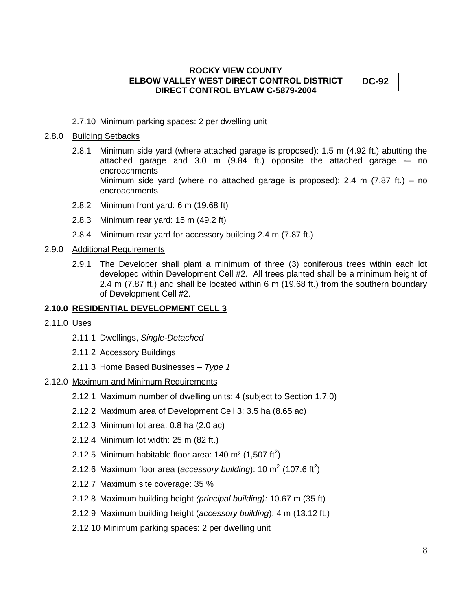**DC-92**

2.7.10 Minimum parking spaces: 2 per dwelling unit

#### 2.8.0 Building Setbacks

- 2.8.1 Minimum side yard (where attached garage is proposed): 1.5 m (4.92 ft.) abutting the attached garage and  $3.0 \text{ m}$  (9.84 ft.) opposite the attached garage  $-$  no encroachments Minimum side yard (where no attached garage is proposed): 2.4 m  $(7.87 \text{ ft.}) -$  no encroachments
- 2.8.2 Minimum front yard: 6 m (19.68 ft)
- 2.8.3 Minimum rear yard: 15 m (49.2 ft)
- 2.8.4 Minimum rear yard for accessory building 2.4 m (7.87 ft.)

#### 2.9.0 Additional Requirements

2.9.1 The Developer shall plant a minimum of three (3) coniferous trees within each lot developed within Development Cell #2. All trees planted shall be a minimum height of 2.4 m (7.87 ft.) and shall be located within 6 m (19.68 ft.) from the southern boundary of Development Cell #2.

#### **2.10.0 RESIDENTIAL DEVELOPMENT CELL 3**

- 2.11.0 Uses
	- 2.11.1 Dwellings, *Single-Detached*
	- 2.11.2 Accessory Buildings
	- 2.11.3 Home Based Businesses *Type 1*
- 2.12.0 Maximum and Minimum Requirements
	- 2.12.1 Maximum number of dwelling units: 4 (subject to Section 1.7.0)
	- 2.12.2 Maximum area of Development Cell 3: 3.5 ha (8.65 ac)
	- 2.12.3 Minimum lot area: 0.8 ha (2.0 ac)
	- 2.12.4 Minimum lot width: 25 m (82 ft.)
	- 2.12.5 Minimum habitable floor area: 140 m<sup>2</sup> (1,507 ft<sup>2</sup>)
	- 2.12.6 Maximum floor area (*accessory building*): 10 m<sup>2</sup> (107.6 ft<sup>2</sup>)
	- 2.12.7 Maximum site coverage: 35 %
	- 2.12.8 Maximum building height *(principal building):* 10.67 m (35 ft)
	- 2.12.9 Maximum building height (*accessory building*): 4 m (13.12 ft.)
	- 2.12.10 Minimum parking spaces: 2 per dwelling unit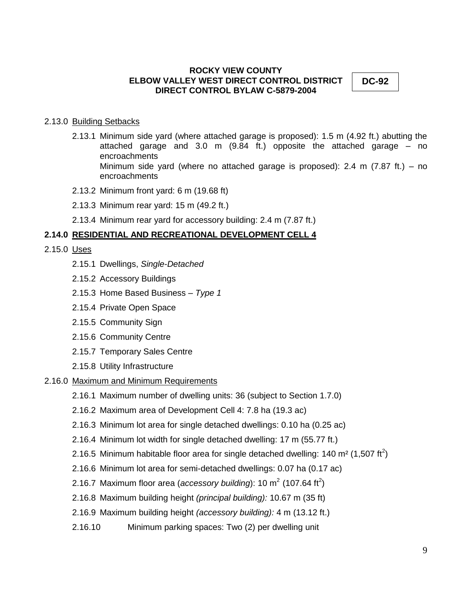**DC-92**

#### 2.13.0 Building Setbacks

- 2.13.1 Minimum side yard (where attached garage is proposed): 1.5 m (4.92 ft.) abutting the attached garage and 3.0 m (9.84 ft.) opposite the attached garage – no encroachments Minimum side yard (where no attached garage is proposed): 2.4 m (7.87 ft.) – no encroachments
- 2.13.2 Minimum front yard: 6 m (19.68 ft)
- 2.13.3 Minimum rear yard: 15 m (49.2 ft.)
- 2.13.4 Minimum rear yard for accessory building: 2.4 m (7.87 ft.)

# **2.14.0 RESIDENTIAL AND RECREATIONAL DEVELOPMENT CELL 4**

- 2.15.0 Uses
	- 2.15.1 Dwellings, *Single-Detached*
	- 2.15.2 Accessory Buildings
	- 2.15.3 Home Based Business *Type 1*
	- 2.15.4 Private Open Space
	- 2.15.5 Community Sign
	- 2.15.6 Community Centre
	- 2.15.7 Temporary Sales Centre
	- 2.15.8 Utility Infrastructure

#### 2.16.0 Maximum and Minimum Requirements

- 2.16.1 Maximum number of dwelling units: 36 (subject to Section 1.7.0)
- 2.16.2 Maximum area of Development Cell 4: 7.8 ha (19.3 ac)
- 2.16.3 Minimum lot area for single detached dwellings: 0.10 ha (0.25 ac)
- 2.16.4 Minimum lot width for single detached dwelling: 17 m (55.77 ft.)
- 2.16.5 Minimum habitable floor area for single detached dwelling: 140 m<sup>2</sup> (1,507 ft<sup>2</sup>)
- 2.16.6 Minimum lot area for semi-detached dwellings: 0.07 ha (0.17 ac)
- 2.16.7 Maximum floor area (*accessory building*): 10 m<sup>2</sup> (107.64 ft<sup>2</sup>)
- 2.16.8 Maximum building height *(principal building):* 10.67 m (35 ft)
- 2.16.9 Maximum building height *(accessory building):* 4 m (13.12 ft.)
- 2.16.10 Minimum parking spaces: Two (2) per dwelling unit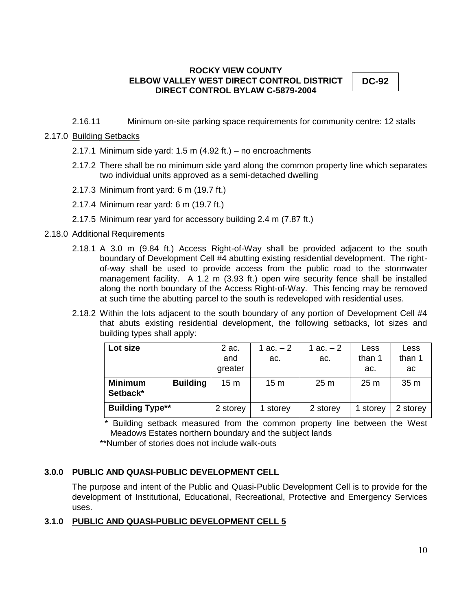**DC-92**

2.16.11 Minimum on-site parking space requirements for community centre: 12 stalls

# 2.17.0 Building Setbacks

- 2.17.1 Minimum side yard: 1.5 m (4.92 ft.) no encroachments
- 2.17.2 There shall be no minimum side yard along the common property line which separates two individual units approved as a semi-detached dwelling
- 2.17.3 Minimum front yard: 6 m (19.7 ft.)
- 2.17.4 Minimum rear yard: 6 m (19.7 ft.)
- 2.17.5 Minimum rear yard for accessory building 2.4 m (7.87 ft.)

# 2.18.0 Additional Requirements

- 2.18.1 A 3.0 m (9.84 ft.) Access Right-of-Way shall be provided adjacent to the south boundary of Development Cell #4 abutting existing residential development. The rightof-way shall be used to provide access from the public road to the stormwater management facility. A 1.2 m (3.93 ft.) open wire security fence shall be installed along the north boundary of the Access Right-of-Way. This fencing may be removed at such time the abutting parcel to the south is redeveloped with residential uses.
- 2.18.2 Within the lots adjacent to the south boundary of any portion of Development Cell #4 that abuts existing residential development, the following setbacks, lot sizes and building types shall apply:

| Lot size                                      | 2 ac.<br>and<br>greater | 1 ac. – 2<br>ac. | 1 ac. – 2<br>ac. | Less<br>than 1<br>ac. | Less<br>than 1<br>ac |
|-----------------------------------------------|-------------------------|------------------|------------------|-----------------------|----------------------|
| <b>Minimum</b><br><b>Building</b><br>Setback* | 15 <sub>m</sub>         | 15 <sub>m</sub>  | 25 <sub>m</sub>  | 25 <sub>m</sub>       | 35 <sub>m</sub>      |
| <b>Building Type**</b>                        | 2 storey                | 1 storey         | 2 storey         | 1 storey              | 2 storey             |

 \* Building setback measured from the common property line between the West Meadows Estates northern boundary and the subject lands

\*\*Number of stories does not include walk-outs

# **3.0.0 PUBLIC AND QUASI-PUBLIC DEVELOPMENT CELL**

The purpose and intent of the Public and Quasi-Public Development Cell is to provide for the development of Institutional, Educational, Recreational, Protective and Emergency Services uses.

# **3.1.0 PUBLIC AND QUASI-PUBLIC DEVELOPMENT CELL 5**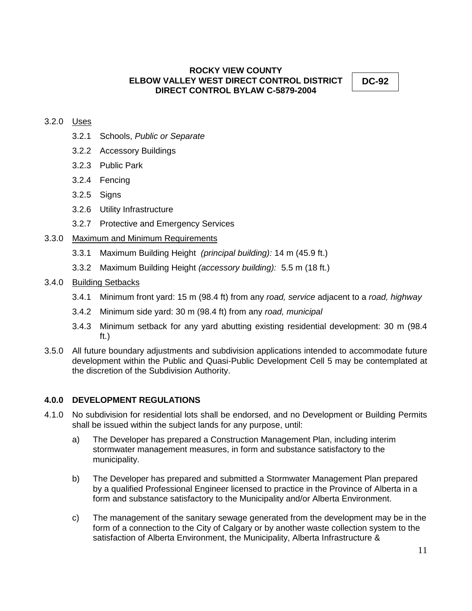**DC-92**

# 3.2.0 Uses

- 3.2.1 Schools, *Public or Separate*
- 3.2.2 Accessory Buildings
- 3.2.3 Public Park
- 3.2.4 Fencing
- 3.2.5 Signs
- 3.2.6 Utility Infrastructure
- 3.2.7 Protective and Emergency Services

# 3.3.0 Maximum and Minimum Requirements

- 3.3.1 Maximum Building Height *(principal building):* 14 m (45.9 ft.)
- 3.3.2 Maximum Building Height *(accessory building):* 5.5 m (18 ft.)

# 3.4.0 Building Setbacks

- 3.4.1 Minimum front yard: 15 m (98.4 ft) from any *road, service* adjacent to a *road, highway*
- 3.4.2 Minimum side yard: 30 m (98.4 ft) from any *road, municipal*
- 3.4.3 Minimum setback for any yard abutting existing residential development: 30 m (98.4 ft.)
- 3.5.0 All future boundary adjustments and subdivision applications intended to accommodate future development within the Public and Quasi-Public Development Cell 5 may be contemplated at the discretion of the Subdivision Authority.

# **4.0.0 DEVELOPMENT REGULATIONS**

- 4.1.0 No subdivision for residential lots shall be endorsed, and no Development or Building Permits shall be issued within the subject lands for any purpose, until:
	- a) The Developer has prepared a Construction Management Plan, including interim stormwater management measures, in form and substance satisfactory to the municipality.
	- b) The Developer has prepared and submitted a Stormwater Management Plan prepared by a qualified Professional Engineer licensed to practice in the Province of Alberta in a form and substance satisfactory to the Municipality and/or Alberta Environment.
	- c) The management of the sanitary sewage generated from the development may be in the form of a connection to the City of Calgary or by another waste collection system to the satisfaction of Alberta Environment, the Municipality, Alberta Infrastructure &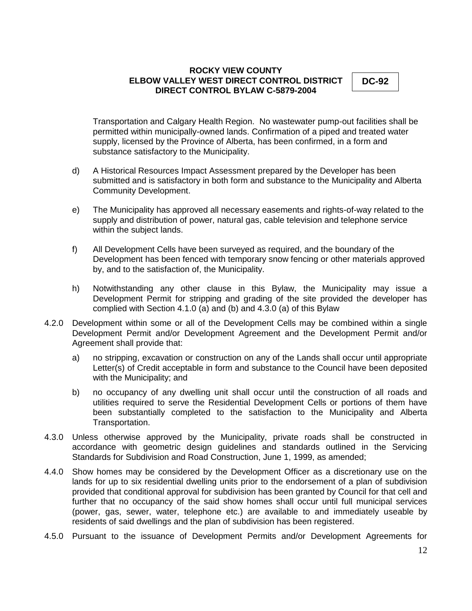**DC-92**

Transportation and Calgary Health Region. No wastewater pump-out facilities shall be permitted within municipally-owned lands. Confirmation of a piped and treated water supply, licensed by the Province of Alberta, has been confirmed, in a form and substance satisfactory to the Municipality.

- d) A Historical Resources Impact Assessment prepared by the Developer has been submitted and is satisfactory in both form and substance to the Municipality and Alberta Community Development.
- e) The Municipality has approved all necessary easements and rights-of-way related to the supply and distribution of power, natural gas, cable television and telephone service within the subject lands.
- f) All Development Cells have been surveyed as required, and the boundary of the Development has been fenced with temporary snow fencing or other materials approved by, and to the satisfaction of, the Municipality.
- h) Notwithstanding any other clause in this Bylaw, the Municipality may issue a Development Permit for stripping and grading of the site provided the developer has complied with Section 4.1.0 (a) and (b) and 4.3.0 (a) of this Bylaw
- 4.2.0 Development within some or all of the Development Cells may be combined within a single Development Permit and/or Development Agreement and the Development Permit and/or Agreement shall provide that:
	- a) no stripping, excavation or construction on any of the Lands shall occur until appropriate Letter(s) of Credit acceptable in form and substance to the Council have been deposited with the Municipality; and
	- b) no occupancy of any dwelling unit shall occur until the construction of all roads and utilities required to serve the Residential Development Cells or portions of them have been substantially completed to the satisfaction to the Municipality and Alberta Transportation.
- 4.3.0 Unless otherwise approved by the Municipality, private roads shall be constructed in accordance with geometric design guidelines and standards outlined in the Servicing Standards for Subdivision and Road Construction, June 1, 1999, as amended;
- 4.4.0 Show homes may be considered by the Development Officer as a discretionary use on the lands for up to six residential dwelling units prior to the endorsement of a plan of subdivision provided that conditional approval for subdivision has been granted by Council for that cell and further that no occupancy of the said show homes shall occur until full municipal services (power, gas, sewer, water, telephone etc.) are available to and immediately useable by residents of said dwellings and the plan of subdivision has been registered.
- 4.5.0 Pursuant to the issuance of Development Permits and/or Development Agreements for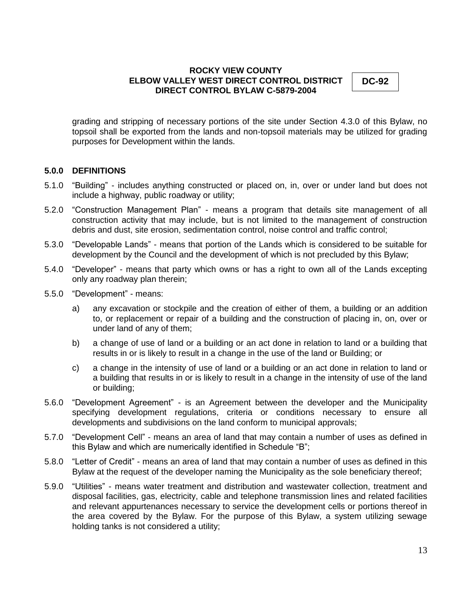**DC-92**

grading and stripping of necessary portions of the site under Section 4.3.0 of this Bylaw, no topsoil shall be exported from the lands and non-topsoil materials may be utilized for grading purposes for Development within the lands.

# **5.0.0 DEFINITIONS**

- 5.1.0 "Building" includes anything constructed or placed on, in, over or under land but does not include a highway, public roadway or utility;
- 5.2.0 "Construction Management Plan" means a program that details site management of all construction activity that may include, but is not limited to the management of construction debris and dust, site erosion, sedimentation control, noise control and traffic control;
- 5.3.0 "Developable Lands" means that portion of the Lands which is considered to be suitable for development by the Council and the development of which is not precluded by this Bylaw;
- 5.4.0 "Developer" means that party which owns or has a right to own all of the Lands excepting only any roadway plan therein;
- 5.5.0 "Development" means:
	- a) any excavation or stockpile and the creation of either of them, a building or an addition to, or replacement or repair of a building and the construction of placing in, on, over or under land of any of them;
	- b) a change of use of land or a building or an act done in relation to land or a building that results in or is likely to result in a change in the use of the land or Building; or
	- c) a change in the intensity of use of land or a building or an act done in relation to land or a building that results in or is likely to result in a change in the intensity of use of the land or building;
- 5.6.0 "Development Agreement" is an Agreement between the developer and the Municipality specifying development regulations, criteria or conditions necessary to ensure all developments and subdivisions on the land conform to municipal approvals;
- 5.7.0 "Development Cell" means an area of land that may contain a number of uses as defined in this Bylaw and which are numerically identified in Schedule "B";
- 5.8.0 "Letter of Credit" means an area of land that may contain a number of uses as defined in this Bylaw at the request of the developer naming the Municipality as the sole beneficiary thereof;
- 5.9.0 "Utilities" means water treatment and distribution and wastewater collection, treatment and disposal facilities, gas, electricity, cable and telephone transmission lines and related facilities and relevant appurtenances necessary to service the development cells or portions thereof in the area covered by the Bylaw. For the purpose of this Bylaw, a system utilizing sewage holding tanks is not considered a utility;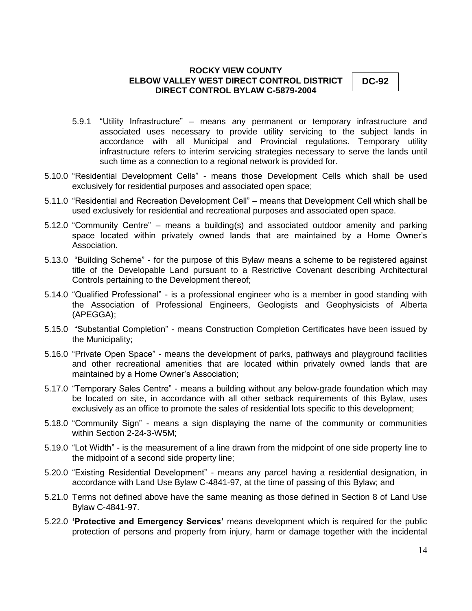**DC-92**

- 5.9.1 "Utility Infrastructure" means any permanent or temporary infrastructure and associated uses necessary to provide utility servicing to the subject lands in accordance with all Municipal and Provincial regulations. Temporary utility infrastructure refers to interim servicing strategies necessary to serve the lands until such time as a connection to a regional network is provided for.
- 5.10.0 "Residential Development Cells" means those Development Cells which shall be used exclusively for residential purposes and associated open space;
- 5.11.0 "Residential and Recreation Development Cell" means that Development Cell which shall be used exclusively for residential and recreational purposes and associated open space.
- 5.12.0 "Community Centre" means a building(s) and associated outdoor amenity and parking space located within privately owned lands that are maintained by a Home Owner's Association.
- 5.13.0 "Building Scheme" for the purpose of this Bylaw means a scheme to be registered against title of the Developable Land pursuant to a Restrictive Covenant describing Architectural Controls pertaining to the Development thereof;
- 5.14.0 "Qualified Professional" is a professional engineer who is a member in good standing with the Association of Professional Engineers, Geologists and Geophysicists of Alberta (APEGGA);
- 5.15.0 "Substantial Completion" means Construction Completion Certificates have been issued by the Municipality;
- 5.16.0 "Private Open Space" means the development of parks, pathways and playground facilities and other recreational amenities that are located within privately owned lands that are maintained by a Home Owner's Association;
- 5.17.0 "Temporary Sales Centre" means a building without any below-grade foundation which may be located on site, in accordance with all other setback requirements of this Bylaw, uses exclusively as an office to promote the sales of residential lots specific to this development;
- 5.18.0 "Community Sign" means a sign displaying the name of the community or communities within Section 2-24-3-W5M;
- 5.19.0 "Lot Width" is the measurement of a line drawn from the midpoint of one side property line to the midpoint of a second side property line;
- 5.20.0 "Existing Residential Development" means any parcel having a residential designation, in accordance with Land Use Bylaw C-4841-97, at the time of passing of this Bylaw; and
- 5.21.0 Terms not defined above have the same meaning as those defined in Section 8 of Land Use Bylaw C-4841-97.
- 5.22.0 **"Protective and Emergency Services"** means development which is required for the public protection of persons and property from injury, harm or damage together with the incidental